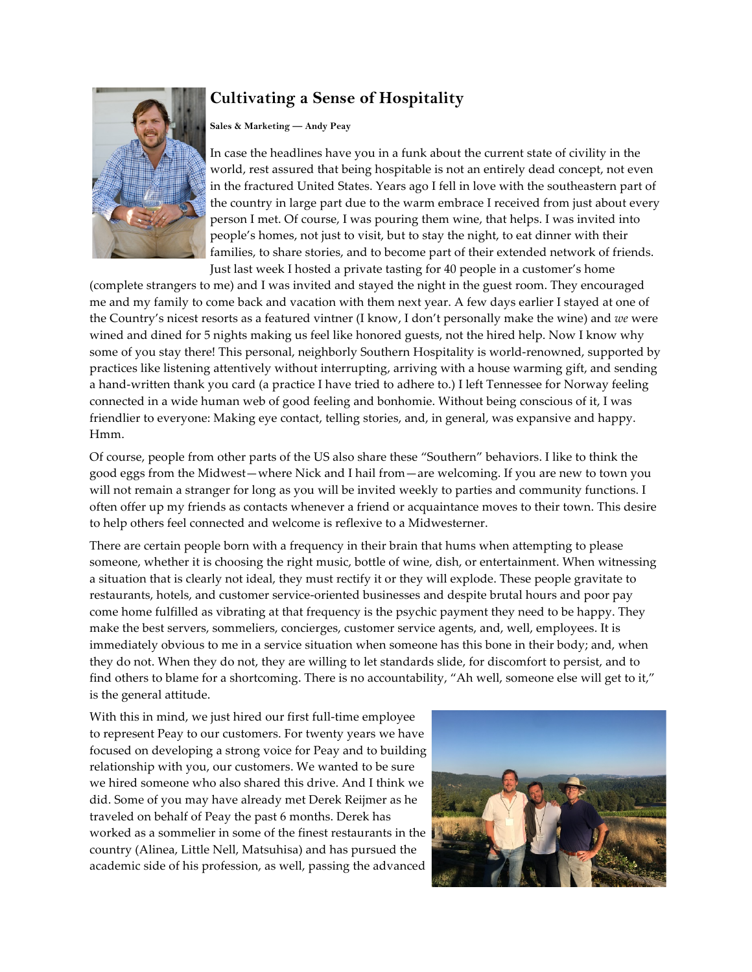## **Cultivating a Sense of Hospitality**



## **Sales & Marketing — Andy Peay**

In case the headlines have you in a funk about the current state of civility in the world, rest assured that being hospitable is not an entirely dead concept, not even in the fractured United States. Years ago I fell in love with the southeastern part of the country in large part due to the warm embrace I received from just about every person I met. Of course, I was pouring them wine, that helps. I was invited into people's homes, not just to visit, but to stay the night, to eat dinner with their families, to share stories, and to become part of their extended network of friends. Just last week I hosted a private tasting for 40 people in a customer's home

(complete strangers to me) and I was invited and stayed the night in the guest room. They encouraged me and my family to come back and vacation with them next year. A few days earlier I stayed at one of the Country's nicest resorts as a featured vintner (I know, I don't personally make the wine) and *we* were wined and dined for 5 nights making us feel like honored guests, not the hired help. Now I know why some of you stay there! This personal, neighborly Southern Hospitality is world-renowned, supported by practices like listening attentively without interrupting, arriving with a house warming gift, and sending a hand-written thank you card (a practice I have tried to adhere to.) I left Tennessee for Norway feeling connected in a wide human web of good feeling and bonhomie. Without being conscious of it, I was friendlier to everyone: Making eye contact, telling stories, and, in general, was expansive and happy. Hmm.

Of course, people from other parts of the US also share these "Southern" behaviors. I like to think the good eggs from the Midwest—where Nick and I hail from—are welcoming. If you are new to town you will not remain a stranger for long as you will be invited weekly to parties and community functions. I often offer up my friends as contacts whenever a friend or acquaintance moves to their town. This desire to help others feel connected and welcome is reflexive to a Midwesterner.

There are certain people born with a frequency in their brain that hums when attempting to please someone, whether it is choosing the right music, bottle of wine, dish, or entertainment. When witnessing a situation that is clearly not ideal, they must rectify it or they will explode. These people gravitate to restaurants, hotels, and customer service-oriented businesses and despite brutal hours and poor pay come home fulfilled as vibrating at that frequency is the psychic payment they need to be happy. They make the best servers, sommeliers, concierges, customer service agents, and, well, employees. It is immediately obvious to me in a service situation when someone has this bone in their body; and, when they do not. When they do not, they are willing to let standards slide, for discomfort to persist, and to find others to blame for a shortcoming. There is no accountability, "Ah well, someone else will get to it," is the general attitude.

With this in mind, we just hired our first full-time employee to represent Peay to our customers. For twenty years we have focused on developing a strong voice for Peay and to building relationship with you, our customers. We wanted to be sure we hired someone who also shared this drive. And I think we did. Some of you may have already met Derek Reijmer as he traveled on behalf of Peay the past 6 months. Derek has worked as a sommelier in some of the finest restaurants in the country (Alinea, Little Nell, Matsuhisa) and has pursued the academic side of his profession, as well, passing the advanced